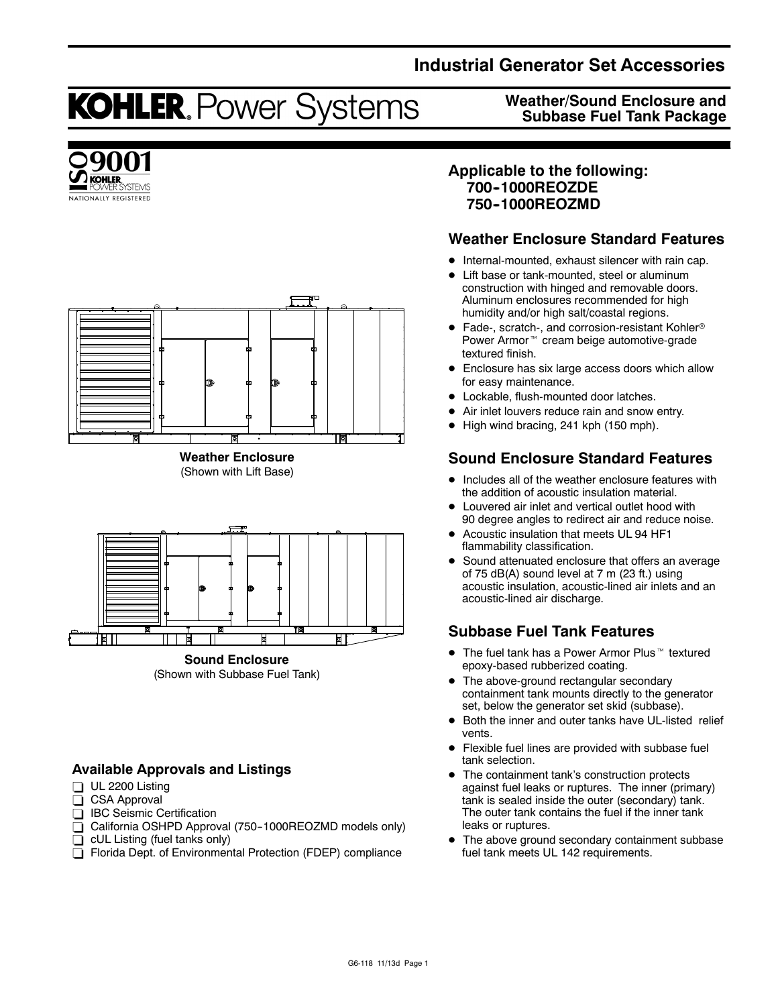## **Industrial Generator Set Accessories**

**Weather/Sound Enclosure and Subbase Fuel Tank Package**

# **KOHLER. Power Systems**





**Weather Enclosure** (Shown with Lift Base)



(Shown with Subbase Fuel Tank)

## **Available Approvals and Listings**

- $\Box$  UL 2200 Listing
- $\overline{\Box}$  CSA Approval
- □ IBC Seismic Certification
- $\overline{\Box}$  California OSHPD Approval (750-1000REOZMD models only)
- $\Box$  cUL Listing (fuel tanks only)
- Florida Dept. of Environmental Protection (FDEP) compliance

## **Applicable to the following: 700--1000REOZDE 750--1000REOZMD**

## **Weather Enclosure Standard Features**

- $\bullet$  Internal-mounted, exhaust silencer with rain cap.
- Lift base or tank-mounted, steel or aluminum construction with hinged and removable doors. Aluminum enclosures recommended for high humidity and/or high salt/coastal regions.
- $\bullet$  Fade-, scratch-, and corrosion-resistant Kohler® Power Armor<sup>™</sup> cream beige automotive-grade textured finish.
- Enclosure has six large access doors which allow for easy maintenance.
- Lockable, flush-mounted door latches.
- Air inlet louvers reduce rain and snow entry.
- High wind bracing, 241 kph (150 mph).

## **Sound Enclosure Standard Features**

- Includes all of the weather enclosure features with the addition of acoustic insulation material.
- Louvered air inlet and vertical outlet hood with 90 degree angles to redirect air and reduce noise.
- Acoustic insulation that meets UL 94 HF1 flammability classification.
- Sound attenuated enclosure that offers an average of 75 dB(A) sound level at 7 m (23 ft.) using acoustic insulation, acoustic-lined air inlets and an acoustic-lined air discharge.

## **Subbase Fuel Tank Features**

- $\bullet$  The fuel tank has a Power Armor Plus  $\mathbb {M}$  textured epoxy-based rubberized coating.
- The above-ground rectangular secondary containment tank mounts directly to the generator set, below the generator set skid (subbase).
- Both the inner and outer tanks have UL-listed relief vents.
- Flexible fuel lines are provided with subbase fuel tank selection.
- The containment tank's construction protects against fuel leaks or ruptures. The inner (primary) tank is sealed inside the outer (secondary) tank. The outer tank contains the fuel if the inner tank leaks or ruptures.
- The above ground secondary containment subbase fuel tank meets UL 142 requirements.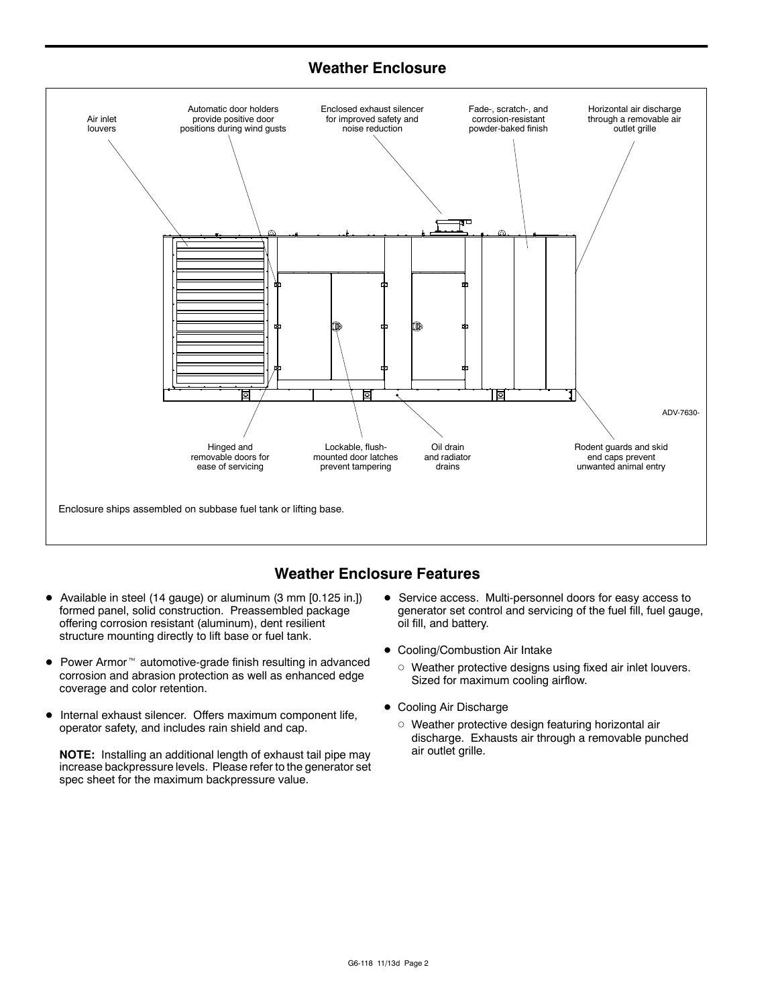## **Weather Enclosure**



## **Weather Enclosure Features**

- Available in steel (14 gauge) or aluminum (3 mm [0.125 in.]) formed panel, solid construction. Preassembled package offering corrosion resistant (aluminum), dent resilient structure mounting directly to lift base or fuel tank.
- $\bullet$  Power Armor<sup> $m$ </sup> automotive-grade finish resulting in advanced corrosion and abrasion protection as well as enhanced edge coverage and color retention.
- $\bullet$  Internal exhaust silencer. Offers maximum component life, operator safety, and includes rain shield and cap.

**NOTE:** Installing an additional length of exhaust tail pipe may increase backpressure levels. Please refer to the generator set spec sheet for the maximum backpressure value.

- **•** Service access. Multi-personnel doors for easy access to generator set control and servicing of the fuel fill, fuel gauge, oil fill, and battery.
- Cooling/Combustion Air Intake
	- $\circ$  Weather protective designs using fixed air inlet louvers. Sized for maximum cooling airflow.
- Cooling Air Discharge
	- $\circ$  Weather protective design featuring horizontal air discharge. Exhausts air through a removable punched air outlet grille.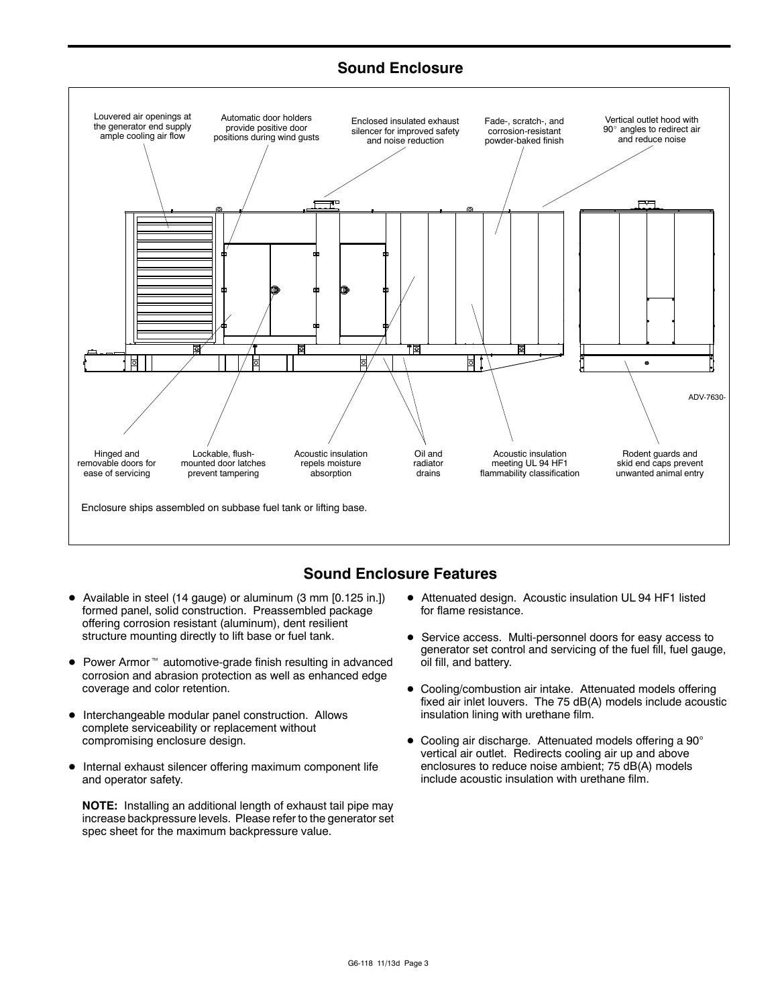## **Sound Enclosure**



## **Sound Enclosure Features**

- Available in steel (14 gauge) or aluminum (3 mm [0.125 in.]) formed panel, solid construction. Preassembled package offering corrosion resistant (aluminum), dent resilient structure mounting directly to lift base or fuel tank.
- $\bullet$  Power Armor<sup> $m$ </sup> automotive-grade finish resulting in advanced corrosion and abrasion protection as well as enhanced edge coverage and color retention.
- $\bullet$  Interchangeable modular panel construction. Allows complete serviceability or replacement without compromising enclosure design.
- $\bullet$  Internal exhaust silencer offering maximum component life and operator safety.

**NOTE:** Installing an additional length of exhaust tail pipe may increase backpressure levels. Please refer to the generator set spec sheet for the maximum backpressure value.

- $\bullet$  Attenuated design. Acoustic insulation UL 94 HF1 listed for flame resistance.
- **•** Service access. Multi-personnel doors for easy access to generator set control and servicing of the fuel fill, fuel gauge, oil fill, and battery.
- Cooling/combustion air intake. Attenuated models offering fixed air inlet louvers. The 75 dB(A) models include acoustic insulation lining with urethane film.
- $\bullet$  Cooling air discharge. Attenuated models offering a 90 $^{\circ}$ vertical air outlet. Redirects cooling air up and above enclosures to reduce noise ambient; 75 dB(A) models include acoustic insulation with urethane film.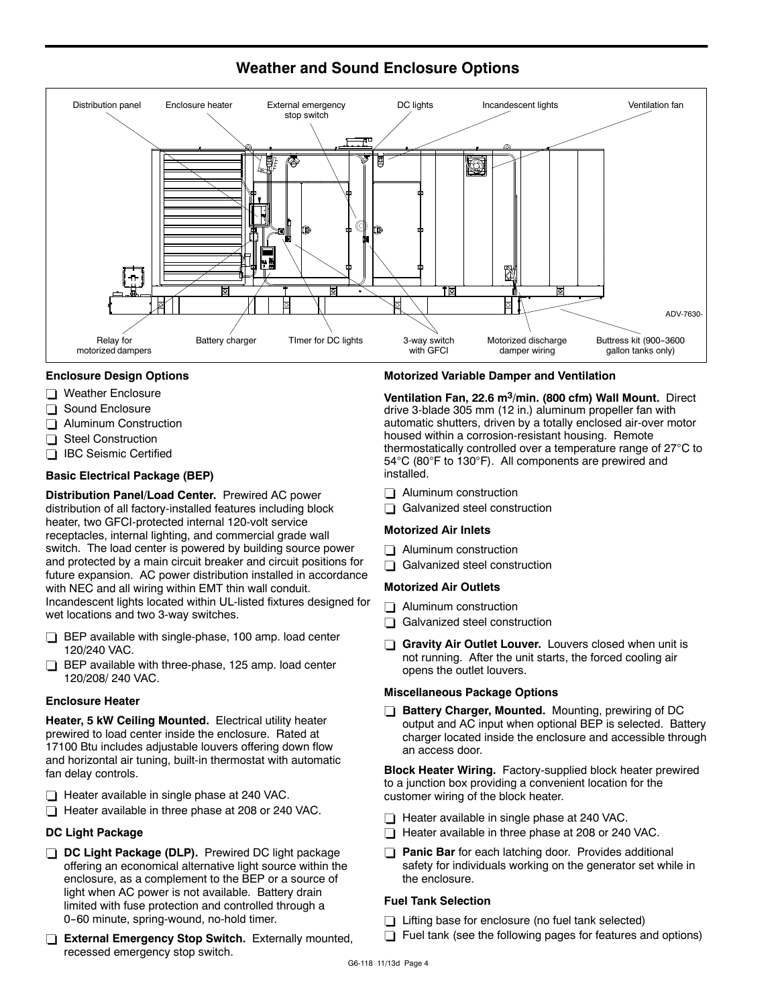

## **Weather and Sound Enclosure Options**

#### **Enclosure Design Options**

- $\Box$  Weather Enclosure
- Sound Enclosure
- $\Box$  Aluminum Construction
- Steel Construction
- □ IBC Seismic Certified

#### **Basic Electrical Package (BEP)**

**Distribution Panel/Load Center.** Prewired AC power distribution of all factory-installed features including block heater, two GFCI-protected internal 120-volt service receptacles, internal lighting, and commercial grade wall switch. The load center is powered by building source power and protected by a main circuit breaker and circuit positions for future expansion. AC power distribution installed in accordance with NEC and all wiring within EMT thin wall conduit. Incandescent lights located within UL-listed fixtures designed for wet locations and two 3-way switches.

- $\Box$  BEP available with single-phase, 100 amp. load center 120/240 VAC.
- $\Box$  BEP available with three-phase, 125 amp. load center 120/208/ 240 VAC.

#### **Enclosure Heater**

**Heater, 5 kW Ceiling Mounted.** Electrical utility heater prewired to load center inside the enclosure. Rated at 17100 Btu includes adjustable louvers offering down flow and horizontal air tuning, built-in thermostat with automatic fan delay controls.

- $\Box$  Heater available in single phase at 240 VAC.
- Heater available in three phase at 208 or 240 VAC.

#### **DC Light Package**

- **DC Light Package (DLP).** Prewired DC light package offering an economical alternative light source within the enclosure, as a complement to the BEP or a source of light when AC power is not available. Battery drain limited with fuse protection and controlled through a 0-60 minute, spring-wound, no-hold timer.
- **External Emergency Stop Switch.** Externally mounted, recessed emergency stop switch.

#### **Motorized Variable Damper and Ventilation**

**Ventilation Fan, 22.6 m3/min. (800 cfm) Wall Mount.** Direct drive 3-blade 305 mm (12 in.) aluminum propeller fan with automatic shutters, driven by a totally enclosed air-over motor housed within a corrosion-resistant housing. Remote thermostatically controlled over a temperature range of  $27^{\circ}$ C to 54°C (80°F to 130°F). All components are prewired and installed.

- $\Box$  Aluminum construction
- $\Box$  Galvanized steel construction

#### **Motorized Air Inlets**

- $\Box$  Aluminum construction
- $\Box$  Galvanized steel construction

#### **Motorized Air Outlets**

- $\Box$  Aluminum construction
- $\Box$  Galvanized steel construction
- Gravity Air Outlet Louver. Louvers closed when unit is not running. After the unit starts, the forced cooling air opens the outlet louvers.

#### **Miscellaneous Package Options**

**Battery Charger, Mounted.** Mounting, prewiring of DC output and AC input when optional BEP is selected. Battery charger located inside the enclosure and accessible through an access door.

**Block Heater Wiring.** Factory-supplied block heater prewired to a junction box providing a convenient location for the customer wiring of the block heater.

- $\Box$  Heater available in single phase at 240 VAC.
- $\Box$  Heater available in three phase at 208 or 240 VAC.
- **Panic Bar** for each latching door. Provides additional safety for individuals working on the generator set while in the enclosure.

#### **Fuel Tank Selection**

- $\Box$  Lifting base for enclosure (no fuel tank selected)
- Fuel tank (see the following pages for features and options)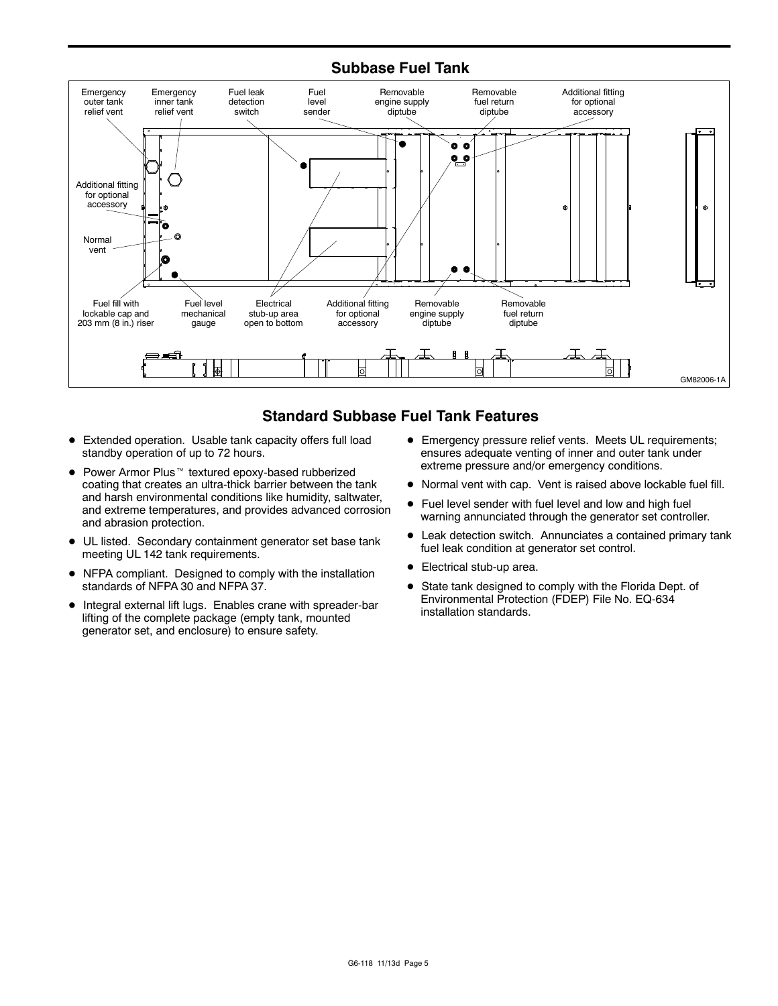### **Subbase Fuel Tank**



## **Standard Subbase Fuel Tank Features**

- Extended operation. Usable tank capacity offers full load standby operation of up to 72 hours.
- $\bullet$  Power Armor Plus<sup> $m$ </sup> textured epoxy-based rubberized coating that creates an ultra-thick barrier between the tank and harsh environmental conditions like humidity, saltwater, and extreme temperatures, and provides advanced corrosion and abrasion protection.
- $\bullet$  UL listed. Secondary containment generator set base tank meeting UL 142 tank requirements.
- NFPA compliant. Designed to comply with the installation standards of NFPA 30 and NFPA 37.
- $\bullet$  Integral external lift lugs. Enables crane with spreader-bar lifting of the complete package (empty tank, mounted generator set, and enclosure) to ensure safety.
- **•** Emergency pressure relief vents. Meets UL requirements; ensures adequate venting of inner and outer tank under extreme pressure and/or emergency conditions.
- $\bullet$  Normal vent with cap. Vent is raised above lockable fuel fill.
- Fuel level sender with fuel level and low and high fuel warning annunciated through the generator set controller.
- Leak detection switch. Annunciates a contained primary tank fuel leak condition at generator set control.
- Electrical stub-up area.
- State tank designed to comply with the Florida Dept. of Environmental Protection (FDEP) File No. EQ-634 installation standards.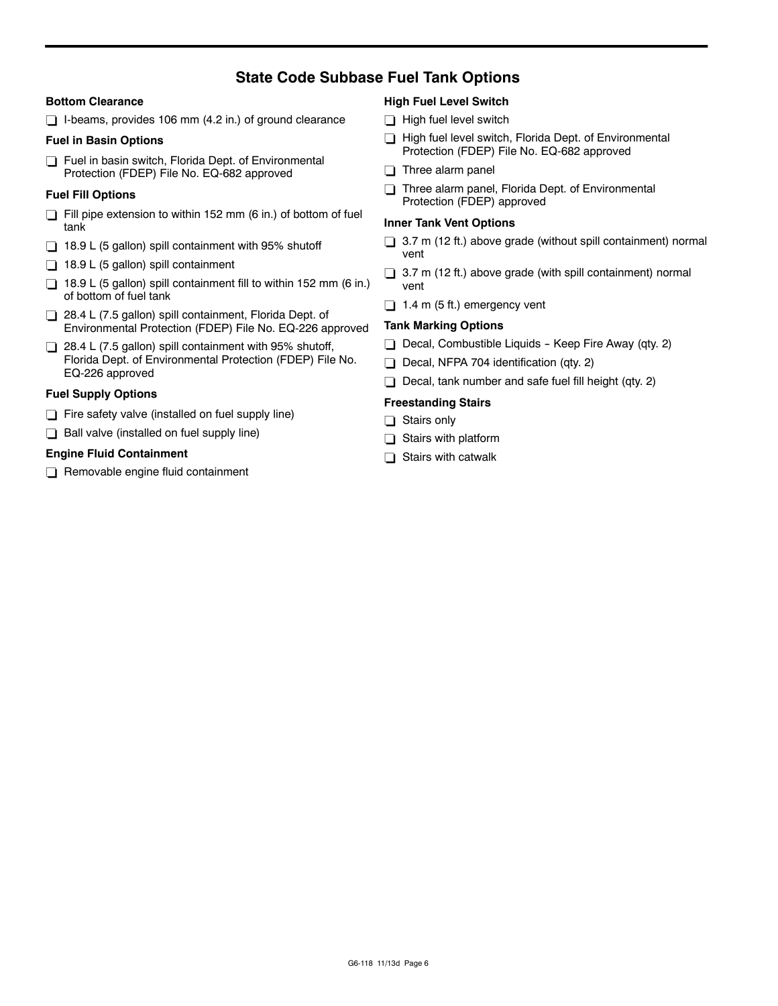## **State Code Subbase Fuel Tank Options**

#### **Bottom Clearance**

 $\Box$  I-beams, provides 106 mm (4.2 in.) of ground clearance

#### **Fuel in Basin Options**

Fuel in basin switch, Florida Dept. of Environmental Protection (FDEP) File No. EQ-682 approved

#### **Fuel Fill Options**

- $\Box$  Fill pipe extension to within 152 mm (6 in.) of bottom of fuel tank
- $\Box$  18.9 L (5 gallon) spill containment with 95% shutoff
- $\Box$  18.9 L (5 gallon) spill containment
- $\Box$  18.9 L (5 gallon) spill containment fill to within 152 mm (6 in.) of bottom of fuel tank
- 28.4 L (7.5 gallon) spill containment, Florida Dept. of Environmental Protection (FDEP) File No. EQ-226 approved
- $\Box$  28.4 L (7.5 gallon) spill containment with 95% shutoff, Florida Dept. of Environmental Protection (FDEP) File No. EQ-226 approved

#### **Fuel Supply Options**

- $\Box$  Fire safety valve (installed on fuel supply line)
- $\Box$  Ball valve (installed on fuel supply line)

#### **Engine Fluid Containment**

 $\Box$  Removable engine fluid containment

#### **High Fuel Level Switch**

- $\Box$  High fuel level switch
- High fuel level switch, Florida Dept. of Environmental Protection (FDEP) File No. EQ-682 approved
- $\Box$  Three alarm panel
- Three alarm panel, Florida Dept. of Environmental Protection (FDEP) approved

#### **Inner Tank Vent Options**

- $\Box$  3.7 m (12 ft.) above grade (without spill containment) normal vent
- $\Box$  3.7 m (12 ft.) above grade (with spill containment) normal vent
- $\Box$  1.4 m (5 ft.) emergency vent

#### **Tank Marking Options**

- $\Box$  Decal, Combustible Liquids Keep Fire Away (qty. 2)
- Decal, NFPA 704 identification (qty. 2)
- $\Box$  Decal, tank number and safe fuel fill height (qty. 2)

#### **Freestanding Stairs**

- $\Box$  Stairs only
- $\Box$  Stairs with platform
- $\Box$  Stairs with catwalk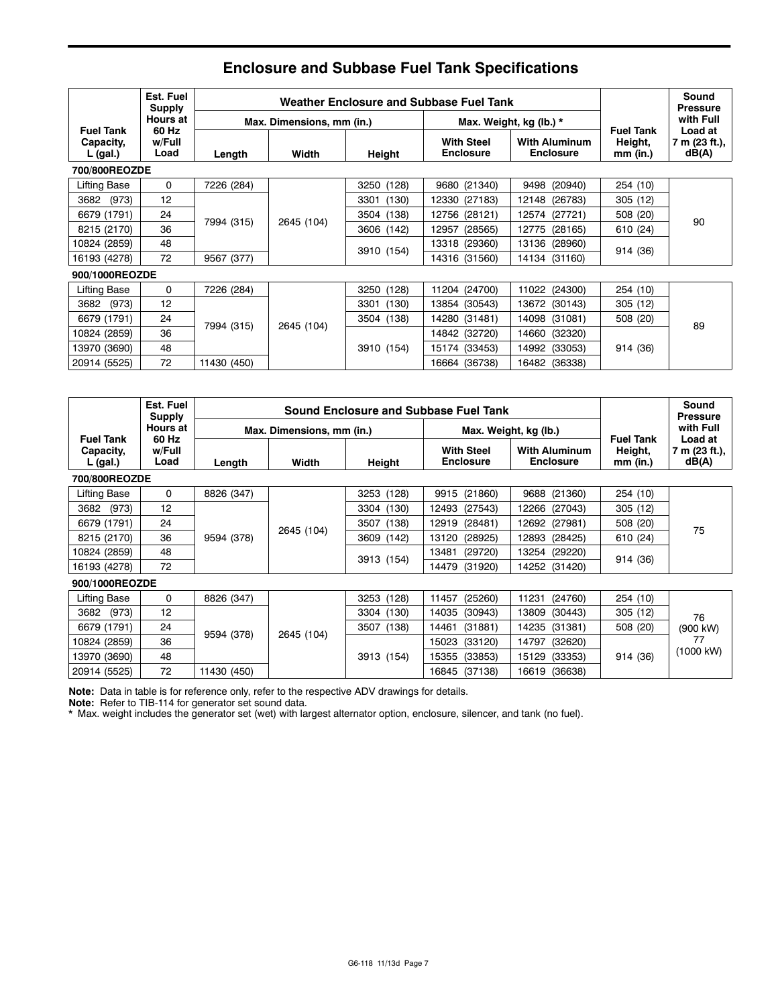|                                           | Est. Fuel<br><b>Supply</b> | Weather Enclosure and Subbase Fuel Tank |                           |               |                                       |                                          |                                           | Sound<br><b>Pressure</b>          |
|-------------------------------------------|----------------------------|-----------------------------------------|---------------------------|---------------|---------------------------------------|------------------------------------------|-------------------------------------------|-----------------------------------|
|                                           | Hours at                   |                                         | Max. Dimensions, mm (in.) |               |                                       | Max. Weight, kg (lb.) *                  |                                           | with Full                         |
| <b>Fuel Tank</b><br>Capacity,<br>L (gal.) | 60 Hz<br>w/Full<br>Load    | Length                                  | Width                     | Height        | <b>With Steel</b><br><b>Enclosure</b> | <b>With Aluminum</b><br><b>Enclosure</b> | <b>Fuel Tank</b><br>Height,<br>$mm$ (in.) | Load at<br>7 m (23 ft.),<br>dB(A) |
| 700/800REOZDE                             |                            |                                         |                           |               |                                       |                                          |                                           |                                   |
| Lifting Base                              | 0                          | 7226 (284)                              |                           | 3250 (128)    | 9680 (21340)                          | 9498 (20940)                             | 254 (10)                                  |                                   |
| 3682<br>(973)                             | 12                         |                                         |                           | (130)<br>3301 | 12330 (27183)                         | 12148 (26783)                            | 305(12)                                   |                                   |
| 6679 (1791)                               | 24                         | 7994 (315)                              | 2645 (104)                | (138)<br>3504 | 12756 (28121)                         | 12574 (27721)                            | 508 (20)                                  | 90                                |
| 8215 (2170)                               | 36                         | 9567 (377)                              |                           | 3606 (142)    | (28565)<br>12957                      | 12775 (28165)                            | 610 (24)                                  |                                   |
| 10824 (2859)                              | 48                         |                                         |                           | 3910 (154)    | 13318 (29360)                         | 13136 (28960)                            | 914 (36)                                  |                                   |
| 16193 (4278)                              | 72                         |                                         |                           |               | 14316 (31560)                         | 14134 (31160)                            |                                           |                                   |
| 900/1000REOZDE                            |                            |                                         |                           |               |                                       |                                          |                                           |                                   |
| Lifting Base                              | $\mathbf 0$                | 7226 (284)                              |                           | 3250 (128)    | 11204 (24700)                         | 11022 (24300)                            | 254 (10)                                  |                                   |
| 3682<br>(973)                             | 12                         |                                         |                           | 3301<br>(130) | 13854 (30543)                         | (30143)<br>13672                         | 305(12)                                   |                                   |
| 6679 (1791)                               | 24                         | 7994 (315)                              |                           | (138)<br>3504 | 14280 (31481)                         | 14098<br>(31081)                         | 508 (20)                                  | 89                                |
| 10824 (2859)                              | 36                         |                                         | 2645 (104)                |               | 14842 (32720)                         | (32320)<br>14660                         |                                           |                                   |
| 13970 (3690)                              | 48                         |                                         |                           | 3910 (154)    | 15174 (33453)                         | 14992<br>(33053)                         | 914 (36)                                  |                                   |
| 20914 (5525)                              | 72                         | 11430 (450)                             |                           |               | 16664 (36738)                         | 16482 (36338)                            |                                           |                                   |

# **Enclosure and Subbase Fuel Tank Specifications**

|                                           | Est. Fuel<br><b>Supply</b> |             | <b>Sound Enclosure and Subbase Fuel Tank</b> |            |                                       |                                          |                                           | Sound<br><b>Pressure</b>          |
|-------------------------------------------|----------------------------|-------------|----------------------------------------------|------------|---------------------------------------|------------------------------------------|-------------------------------------------|-----------------------------------|
|                                           | <b>Hours at</b><br>60 Hz   |             | Max. Dimensions, mm (in.)                    |            | Max. Weight, kg (lb.)                 |                                          |                                           | with Full                         |
| <b>Fuel Tank</b><br>Capacity,<br>L (gal.) | w/Full<br>Load             | Length      | Width                                        | Height     | <b>With Steel</b><br><b>Enclosure</b> | <b>With Aluminum</b><br><b>Enclosure</b> | <b>Fuel Tank</b><br>Height,<br>$mm$ (in.) | Load at<br>7 m (23 ft.),<br>dB(A) |
| 700/800REOZDE                             |                            |             |                                              |            |                                       |                                          |                                           |                                   |
| <b>Lifting Base</b>                       | 0                          | 8826 (347)  |                                              | 3253 (128) | 9915 (21860)                          | 9688 (21360)                             | 254 (10)                                  |                                   |
| (973)<br>3682                             | 12                         |             |                                              | 3304 (130) | 12493 (27543)                         | 12266 (27043)                            | 305 (12)                                  |                                   |
| 6679 (1791)                               | 24                         |             | 2645 (104)                                   | 3507 (138) | (28481)<br>12919                      | 12692 (27981)                            | 508 (20)                                  | 75                                |
| 8215 (2170)                               | 36                         | 9594 (378)  |                                              | 3609 (142) | 13120<br>(28925)                      | 12893<br>(28425)                         | 610 (24)                                  |                                   |
| 10824 (2859)                              | 48                         |             |                                              |            | (29720)<br>13481                      | 13254<br>(29220)                         | 914 (36)                                  |                                   |
| 16193 (4278)                              | 72                         |             |                                              | 3913 (154) | (31920)<br>14479                      | 14252 (31420)                            |                                           |                                   |
| 900/1000REOZDE                            |                            |             |                                              |            |                                       |                                          |                                           |                                   |
| Lifting Base                              | 0                          | 8826 (347)  |                                              | 3253 (128) | (25260)<br>11457                      | 11231 (24760)                            | 254 (10)                                  |                                   |
| 3682<br>(973)                             | 12                         |             |                                              | 3304 (130) | 14035<br>(30943)                      | 13809<br>(30443)                         | 305 (12)                                  | 76                                |
| 6679 (1791)                               | 24                         |             | 2645 (104)                                   | 3507 (138) | 14461<br>(31881)                      | 14235<br>(31381)                         | 508 (20)                                  | (900 kW)                          |
| 10824 (2859)                              | 36                         | 9594 (378)  |                                              |            | 15023<br>(33120)                      | 14797<br>(32620)                         |                                           | 77                                |
| 13970 (3690)                              | 48                         |             |                                              | 3913 (154) | (33853)<br>15355                      | 15129 (33353)                            | 914 (36)                                  | (1000 kW)                         |
| 20914 (5525)                              | 72                         | 11430 (450) |                                              |            | (37138)<br>16845                      | 16619 (36638)                            |                                           |                                   |

**Note:** Data in table is for reference only, refer to the respective ADV drawings for details.

**Note:** Refer to TIB-114 for generator set sound data.

\* Max. weight includes the generator set (wet) with largest alternator option, enclosure, silencer, and tank (no fuel).